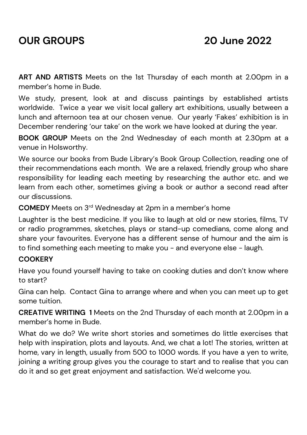**ART AND ARTISTS** Meets on the 1st Thursday of each month at 2.00pm in a member's home in Bude.

We study, present, look at and discuss paintings by established artists worldwide. Twice a year we visit local gallery art exhibitions, usually between a lunch and afternoon tea at our chosen venue. Our yearly 'Fakes' exhibition is in December rendering 'our take' on the work we have looked at during the year.

**BOOK GROUP** Meets on the 2nd Wednesday of each month at 2.30pm at a venue in Holsworthy.

We source our books from Bude Library's Book Group Collection, reading one of their recommendations each month. We are a relaxed, friendly group who share responsibility for leading each meeting by researching the author etc. and we learn from each other, sometimes giving a book or author a second read after our discussions.

**COMEDY** Meets on 3rd Wednesday at 2pm in a member's home

Laughter is the best medicine. If you like to laugh at old or new stories, films, TV or radio programmes, sketches, plays or stand-up comedians, come along and share your favourites. Everyone has a different sense of humour and the aim is to find something each meeting to make you - and everyone else - laugh.

## **COOKERY**

Have you found yourself having to take on cooking duties and don't know where to start?

Gina can help. Contact Gina to arrange where and when you can meet up to get some tuition.

**CREATIVE WRITING 1** Meets on the 2nd Thursday of each month at 2.00pm in a member's home in Bude.

What do we do? We write short stories and sometimes do little exercises that help with inspiration, plots and layouts. And, we chat a lot! The stories, written at home, vary in length, usually from 500 to 1000 words. If you have a yen to write, joining a writing group gives you the courage to start and to realise that you can do it and so get great enjoyment and satisfaction. We'd welcome you.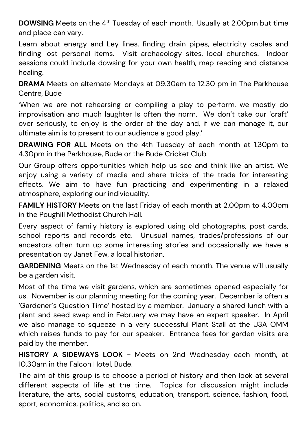**DOWSING** Meets on the 4<sup>th</sup> Tuesday of each month. Usually at 2.00pm but time and place can vary.

Learn about energy and Ley lines, finding drain pipes, electricity cables and finding lost personal items. Visit archaeology sites, local churches. Indoor sessions could include dowsing for your own health, map reading and distance healing.

**DRAMA** Meets on alternate Mondays at 09.30am to 12.30 pm in The Parkhouse Centre, Bude

*'*When we are not rehearsing or compiling a play to perform, we mostly do improvisation and much laughter Is often the norm. We don't take our 'craft' over seriously, to enjoy is the order of the day and, if we can manage it, our ultimate aim is to present to our audience a good play.'

**DRAWING FOR ALL** Meets on the 4th Tuesday of each month at 1.30pm to 4.30pm in the Parkhouse, Bude or the Bude Cricket Club.

Our Group offers opportunities which help us see and think like an artist. We enjoy using a variety of media and share tricks of the trade for interesting effects. We aim to have fun practicing and experimenting in a relaxed atmosphere, exploring our individuality.

**FAMILY HISTORY** Meets on the last Friday of each month at 2.00pm to 4.00pm in the Poughill Methodist Church Hall.

Every aspect of family history is explored using old photographs, post cards, school reports and records etc. Unusual names, trades/professions of our ancestors often turn up some interesting stories and occasionally we have a presentation by Janet Few, a local historian.

**GARDENING** Meets on the 1st Wednesday of each month. The venue will usually be a garden visit.

Most of the time we visit gardens, which are sometimes opened especially for us. November is our planning meeting for the coming year. December is often a 'Gardener's Question Time' hosted by a member. January a shared lunch with a plant and seed swap and in February we may have an expert speaker. In April we also manage to squeeze in a very successful Plant Stall at the U3A OMM which raises funds to pay for our speaker. Entrance fees for garden visits are paid by the member.

**HISTORY A SIDEWAYS LOOK -** Meets on 2nd Wednesday each month, at 10.30am in the Falcon Hotel, Bude.

The aim of this group is to choose a period of history and then look at several different aspects of life at the time. Topics for discussion might include literature, the arts, social customs, education, transport, science, fashion, food, sport, economics, politics, and so on.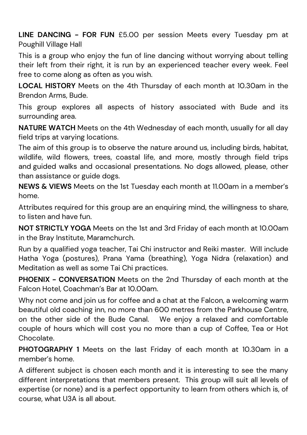**LINE DANCING - FOR FUN** £5.00 per session Meets every Tuesday pm at Poughill Village Hall

This is a group who enjoy the fun of line dancing without worrying about telling their left from their right, it is run by an experienced teacher every week. Feel free to come along as often as you wish.

**LOCAL HISTORY** Meets on the 4th Thursday of each month at 10.30am in the Brendon Arms, Bude.

This group explores all aspects of history associated with Bude and its surrounding area.

**NATURE WATCH** Meets on the 4th Wednesday of each month, usually for all day field trips at varying locations.

The aim of this group is to observe the nature around us, including birds, habitat, wildlife, wild flowers, trees, coastal life, and more, mostly through field trips and guided walks and occasional presentations. No dogs allowed, please, other than assistance or guide dogs.

**NEWS & VIEWS** Meets on the 1st Tuesday each month at 11.00am in a member's home.

Attributes required for this group are an enquiring mind, the willingness to share, to listen and have fun.

**NOT STRICTLY YOGA** Meets on the 1st and 3rd Friday of each month at 10.00am in the Bray Institute, Maramchurch.

Run by a qualified yoga teacher, Tai Chi instructor and Reiki master. Will include Hatha Yoga (postures), Prana Yama (breathing), Yoga Nidra (relaxation) and Meditation as well as some Tai Chi practices.

**PHOENIX - CONVERSATION** Meets on the 2nd Thursday of each month at the Falcon Hotel, Coachman's Bar at 10.00am.

Why not come and join us for coffee and a chat at the Falcon, a welcoming warm beautiful old coaching inn, no more than 600 metres from the Parkhouse Centre, on the other side of the Bude Canal. We enjoy a relaxed and comfortable couple of hours which will cost you no more than a cup of Coffee, Tea or Hot Chocolate.

**PHOTOGRAPHY 1** Meets on the last Friday of each month at 10.30am in a member's home.

A different subject is chosen each month and it is interesting to see the many different interpretations that members present. This group will suit all levels of expertise (or none) and is a perfect opportunity to learn from others which is, of course, what U3A is all about.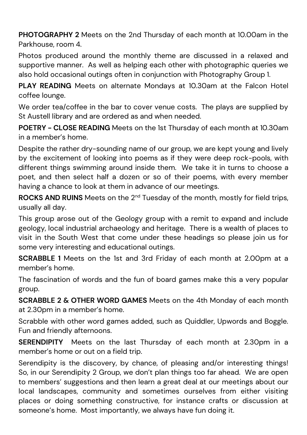**PHOTOGRAPHY 2** Meets on the 2nd Thursday of each month at 10.00am in the Parkhouse, room 4.

Photos produced around the monthly theme are discussed in a relaxed and supportive manner. As well as helping each other with photographic queries we also hold occasional outings often in conjunction with Photography Group 1.

**PLAY READING** Meets on alternate Mondays at 10.30am at the Falcon Hotel coffee lounge.

We order tea/coffee in the bar to cover venue costs. The plays are supplied by St Austell library and are ordered as and when needed.

**POETRY - CLOSE READING** Meets on the 1st Thursday of each month at 10.30am in a member's home.

Despite the rather dry-sounding name of our group, we are kept young and lively by the excitement of looking into poems as if they were deep rock-pools, with different things swimming around inside them. We take it in turns to choose a poet, and then select half a dozen or so of their poems, with every member having a chance to look at them in advance of our meetings.

**ROCKS AND RUINS** Meets on the 2<sup>nd</sup> Tuesday of the month, mostly for field trips, usually all day.

This group arose out of the Geology group with a remit to expand and include geology, local industrial archaeology and heritage. There is a wealth of places to visit in the South West that come under these headings so please join us for some very interesting and educational outings.

**SCRABBLE 1** Meets on the 1st and 3rd Friday of each month at 2.00pm at a member's home.

The fascination of words and the fun of board games make this a very popular group.

**SCRABBLE 2 & OTHER WORD GAMES** Meets on the 4th Monday of each month at 2.30pm in a member's home.

Scrabble with other word games added, such as Quiddler, Upwords and Boggle. Fun and friendly afternoons.

**SERENDIPITY** Meets on the last Thursday of each month at 2.30pm in a member's home or out on a field trip.

Serendipity is the discovery, by chance, of pleasing and/or interesting things! So, in our Serendipity 2 Group, we don't plan things too far ahead. We are open to members' suggestions and then learn a great deal at our meetings about our local landscapes, community and sometimes ourselves from either visiting places or doing something constructive, for instance crafts or discussion at someone's home. Most importantly, we always have fun doing it.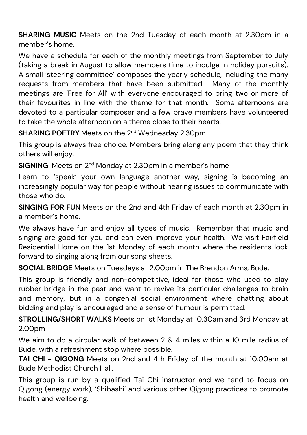**SHARING MUSIC** Meets on the 2nd Tuesday of each month at 2.30pm in a member's home.

We have a schedule for each of the monthly meetings from September to July (taking a break in August to allow members time to indulge in holiday pursuits). A small 'steering committee' composes the yearly schedule, including the many requests from members that have been submitted. Many of the monthly meetings are 'Free for All' with everyone encouraged to bring two or more of their favourites in line with the theme for that month. Some afternoons are devoted to a particular composer and a few brave members have volunteered to take the whole afternoon on a theme close to their hearts.

**SHARING POETRY** Meets on the 2<sup>nd</sup> Wednesday 2.30pm

This group is always free choice. Members bring along any poem that they think others will enjoy.

**SIGNING** Meets on 2<sup>nd</sup> Monday at 2.30pm in a member's home

Learn to 'speak' your own language another way, signing is becoming an increasingly popular way for people without hearing issues to communicate with those who do.

**SINGING FOR FUN** Meets on the 2nd and 4th Friday of each month at 2.30pm in a member's home.

We always have fun and enjoy all types of music. Remember that music and singing are good for you and can even improve your health. We visit Fairfield Residential Home on the 1st Monday of each month where the residents look forward to singing along from our song sheets.

**SOCIAL BRIDGE** Meets on Tuesdays at 2.00pm in The Brendon Arms, Bude.

This group is friendly and non-competitive, ideal for those who used to play rubber bridge in the past and want to revive its particular challenges to brain and memory, but in a congenial social environment where chatting about bidding and play is encouraged and a sense of humour is permitted.

**STROLLING/SHORT WALKS** Meets on 1st Monday at 10.30am and 3rd Monday at 2.00pm

We aim to do a circular walk of between 2 & 4 miles within a 10 mile radius of Bude, with a refreshment stop where possible.

**TAI CHI - QIGONG** Meets on 2nd and 4th Friday of the month at 10.00am at Bude Methodist Church Hall.

This group is run by a qualified Tai Chi instructor and we tend to focus on Qigong (energy work), 'Shibashi' and various other Qigong practices to promote health and wellbeing.